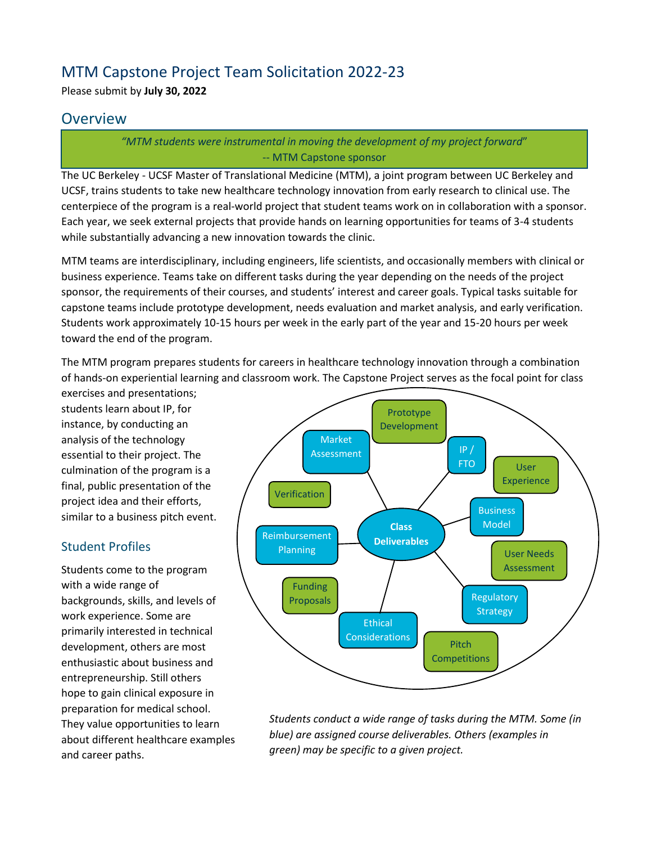# MTM Capstone Project Team Solicitation 2022-23

Please submit by **July 30, 2022**

# **Overview**

*"MTM students were instrumental in moving the development of my project forward*" -- MTM Capstone sponsor

The UC Berkeley - UCSF Master of Translational Medicine (MTM), a joint program between UC Berkeley and UCSF, trains students to take new healthcare technology innovation from early research to clinical use. The centerpiece of the program is a real-world project that student teams work on in collaboration with a sponsor. Each year, we seek external projects that provide hands on learning opportunities for teams of 3-4 students while substantially advancing a new innovation towards the clinic.

MTM teams are interdisciplinary, including engineers, life scientists, and occasionally members with clinical or business experience. Teams take on different tasks during the year depending on the needs of the project sponsor, the requirements of their courses, and students' interest and career goals. Typical tasks suitable for capstone teams include prototype development, needs evaluation and market analysis, and early verification. Students work approximately 10-15 hours per week in the early part of the year and 15-20 hours per week toward the end of the program.

The MTM program prepares students for careers in healthcare technology innovation through a combination of hands-on experiential learning and classroom work. The Capstone Project serves as the focal point for class

exercises and presentations; students learn about IP, for instance, by conducting an analysis of the technology essential to their project. The culmination of the program is a final, public presentation of the project idea and their efforts, similar to a business pitch event.

### Student Profiles

Students come to the program with a wide range of backgrounds, skills, and levels of work experience. Some are primarily interested in technical development, others are most enthusiastic about business and entrepreneurship. Still others hope to gain clinical exposure in preparation for medical school. They value opportunities to learn about different healthcare examples and career paths.



*Students conduct a wide range of tasks during the MTM. Some (in blue) are assigned course deliverables. Others (examples in green) may be specific to a given project.*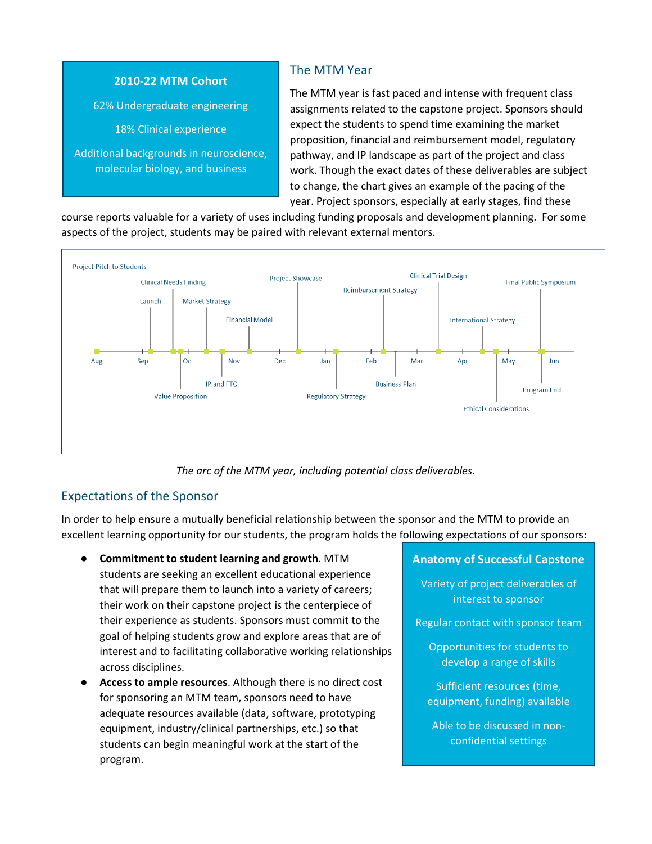

molecular biology, and business

# The MTM Year

The MTM year is fast paced and intense with frequent class assignments related to the capstone project. Sponsors should expect the students to spend time examining the market proposition, financial and reimbursement model, regulatory pathway, and IP landscape as part of the project and class work. Though the exact dates of these deliverables are subject to change, the chart gives an example of the pacing of the year. Project sponsors, especially at early stages, find these

course reports valuable for a variety of uses including funding proposals and development planning. For some aspects of the project, students may be paired with relevant external mentors.



*The arc of the MTM year, including potential class deliverables.*

# Expectations of the Sponsor

In order to help ensure a mutually beneficial relationship between the sponsor and the MTM to provide an excellent learning opportunity for our students, the program holds the following expectations of our sponsors:

- **Commitment to student learning and growth**. MTM students are seeking an excellent educational experience that will prepare them to launch into a variety of careers; their work on their capstone project is the centerpiece of their experience as students. Sponsors must commit to the goal of helping students grow and explore areas that are of interest and to facilitating collaborative working relationships across disciplines.
- Access to ample resources. Although there is no direct cost for sponsoring an MTM team, sponsors need to have adequate resources available (data, software, prototyping equipment, industry/clinical partnerships, etc.) so that students can begin meaningful work at the start of the program.

### **Anatomy of Successful Capstone**

Variety of project deliverables of interest to sponsor

Regular contact with sponsor team

Opportunities for students to develop a range of skills

Sufficient resources (time, equipment, funding) available

Able to be discussed in nonconfidential settings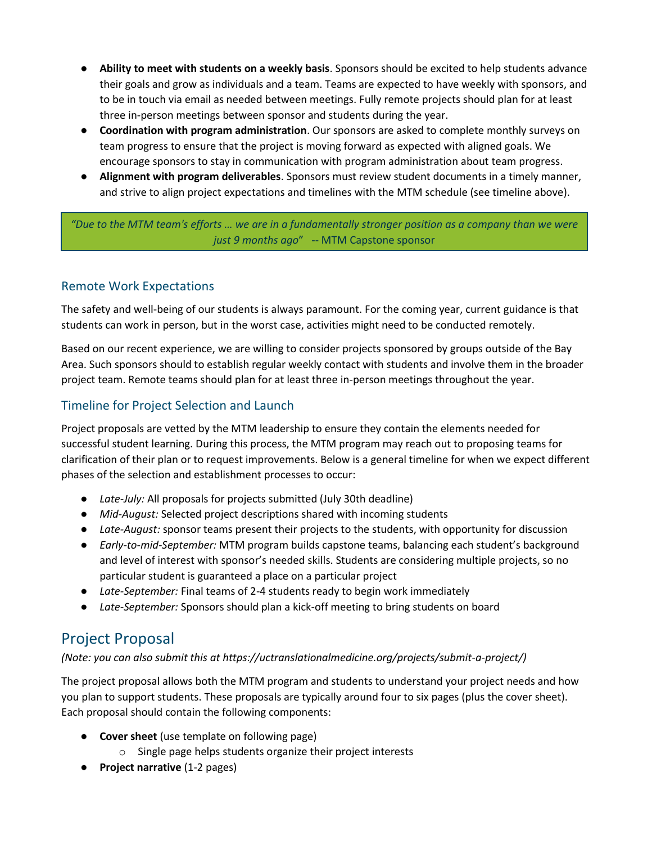- **Ability to meet with students on a weekly basis**. Sponsors should be excited to help students advance their goals and grow as individuals and a team. Teams are expected to have weekly with sponsors, and to be in touch via email as needed between meetings. Fully remote projects should plan for at least three in-person meetings between sponsor and students during the year.
- **Coordination with program administration**. Our sponsors are asked to complete monthly surveys on team progress to ensure that the project is moving forward as expected with aligned goals. We encourage sponsors to stay in communication with program administration about team progress.
- **Alignment with program deliverables**. Sponsors must review student documents in a timely manner, and strive to align project expectations and timelines with the MTM schedule (see timeline above).

*"Due to the MTM team's efforts … we are in a fundamentally stronger position as a company than we were just 9 months ago*" -- MTM Capstone sponsor

### Remote Work Expectations

The safety and well-being of our students is always paramount. For the coming year, current guidance is that students can work in person, but in the worst case, activities might need to be conducted remotely.

Based on our recent experience, we are willing to consider projects sponsored by groups outside of the Bay Area. Such sponsors should to establish regular weekly contact with students and involve them in the broader project team. Remote teams should plan for at least three in-person meetings throughout the year.

### Timeline for Project Selection and Launch

Project proposals are vetted by the MTM leadership to ensure they contain the elements needed for successful student learning. During this process, the MTM program may reach out to proposing teams for clarification of their plan or to request improvements. Below is a general timeline for when we expect different phases of the selection and establishment processes to occur:

- *Late-July:* All proposals for projects submitted (July 30th deadline)
- *Mid-August:* Selected project descriptions shared with incoming students
- *Late-August:* sponsor teams present their projects to the students, with opportunity for discussion
- *Early-to-mid-September:* MTM program builds capstone teams, balancing each student's background and level of interest with sponsor's needed skills. Students are considering multiple projects, so no particular student is guaranteed a place on a particular project
- *Late-September:* Final teams of 2-4 students ready to begin work immediately
- *Late-September:* Sponsors should plan a kick-off meeting to bring students on board

# Project Proposal

*(Note: you can also submit this at https://uctranslationalmedicine.org/projects/submit-a-project/)*

The project proposal allows both the MTM program and students to understand your project needs and how you plan to support students. These proposals are typically around four to six pages (plus the cover sheet). Each proposal should contain the following components:

- **Cover sheet** (use template on following page)
	- o Single page helps students organize their project interests
- **Project narrative** (1-2 pages)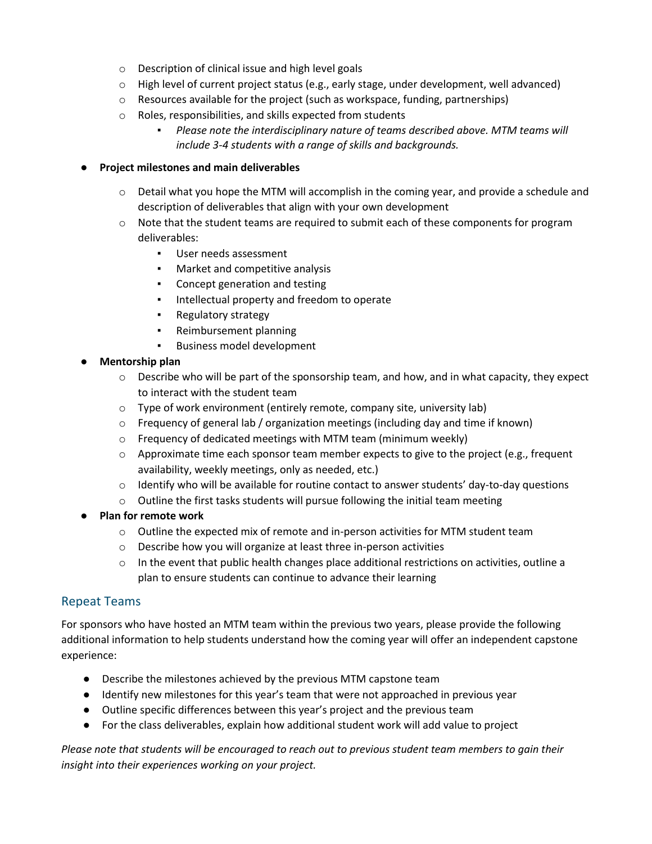- o Description of clinical issue and high level goals
- $\circ$  High level of current project status (e.g., early stage, under development, well advanced)
- o Resources available for the project (such as workspace, funding, partnerships)
- o Roles, responsibilities, and skills expected from students
	- *Please note the interdisciplinary nature of teams described above. MTM teams will include 3-4 students with a range of skills and backgrounds.*

#### ● **Project milestones and main deliverables**

- $\circ$  Detail what you hope the MTM will accomplish in the coming year, and provide a schedule and description of deliverables that align with your own development
- o Note that the student teams are required to submit each of these components for program deliverables:
	- User needs assessment
	- Market and competitive analysis
	- Concept generation and testing
	- Intellectual property and freedom to operate
	- Regulatory strategy
	- Reimbursement planning
	- Business model development

#### ● **Mentorship plan**

- $\circ$  Describe who will be part of the sponsorship team, and how, and in what capacity, they expect to interact with the student team
- $\circ$  Type of work environment (entirely remote, company site, university lab)
- $\circ$  Frequency of general lab / organization meetings (including day and time if known)
- o Frequency of dedicated meetings with MTM team (minimum weekly)
- $\circ$  Approximate time each sponsor team member expects to give to the project (e.g., frequent availability, weekly meetings, only as needed, etc.)
- $\circ$  Identify who will be available for routine contact to answer students' day-to-day questions
- $\circ$  Outline the first tasks students will pursue following the initial team meeting
- **Plan for remote work**
	- $\circ$  Outline the expected mix of remote and in-person activities for MTM student team
	- o Describe how you will organize at least three in-person activities
	- $\circ$  In the event that public health changes place additional restrictions on activities, outline a plan to ensure students can continue to advance their learning

### Repeat Teams

For sponsors who have hosted an MTM team within the previous two years, please provide the following additional information to help students understand how the coming year will offer an independent capstone experience:

- Describe the milestones achieved by the previous MTM capstone team
- Identify new milestones for this year's team that were not approached in previous year
- Outline specific differences between this year's project and the previous team
- For the class deliverables, explain how additional student work will add value to project

*Please note that students will be encouraged to reach out to previous student team members to gain their insight into their experiences working on your project.*